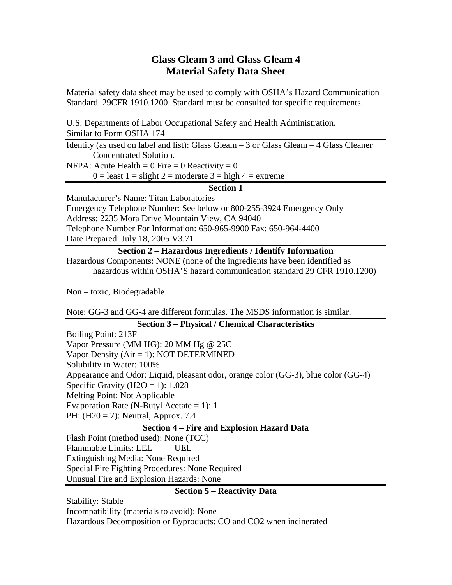# **Glass Gleam 3 and Glass Gleam 4 Material Safety Data Sheet**

Material safety data sheet may be used to comply with OSHA's Hazard Communication Standard. 29CFR 1910.1200. Standard must be consulted for specific requirements.

U.S. Departments of Labor Occupational Safety and Health Administration. Similar to Form OSHA 174

Identity (as used on label and list): Glass Gleam – 3 or Glass Gleam – 4 Glass Cleaner Concentrated Solution.

NFPA: Acute Health =  $0$  Fire =  $0$  Reactivity =  $0$ 

 $0 =$  least  $1 =$  slight  $2 =$  moderate  $3 =$  high  $4 =$  extreme

# **Section 1**

Manufacturer's Name: Titan Laboratories Emergency Telephone Number: See below or 800-255-3924 Emergency Only Address: 2235 Mora Drive Mountain View, CA 94040 Telephone Number For Information: 650-965-9900 Fax: 650-964-4400 Date Prepared: July 18, 2005 V3.71

#### **Section 2 – Hazardous Ingredients / Identify Information**

Hazardous Components: NONE (none of the ingredients have been identified as hazardous within OSHA'S hazard communication standard 29 CFR 1910.1200)

Non – toxic, Biodegradable

Note: GG-3 and GG-4 are different formulas. The MSDS information is similar.

#### **Section 3 – Physical / Chemical Characteristics**

Boiling Point: 213F Vapor Pressure (MM HG): 20 MM Hg @ 25C Vapor Density (Air = 1): NOT DETERMINED Solubility in Water: 100% Appearance and Odor: Liquid, pleasant odor, orange color (GG-3), blue color (GG-4) Specific Gravity (H2O = 1):  $1.028$ Melting Point: Not Applicable Evaporation Rate (N-Butyl Acetate  $= 1$ ): 1 PH: (H20 = 7): Neutral, Approx. 7.4

## **Section 4 – Fire and Explosion Hazard Data**

Flash Point (method used): None (TCC) Flammable Limits: LEL UEL Extinguishing Media: None Required Special Fire Fighting Procedures: None Required Unusual Fire and Explosion Hazards: None

## **Section 5 – Reactivity Data**

Stability: Stable Incompatibility (materials to avoid): None Hazardous Decomposition or Byproducts: CO and CO2 when incinerated